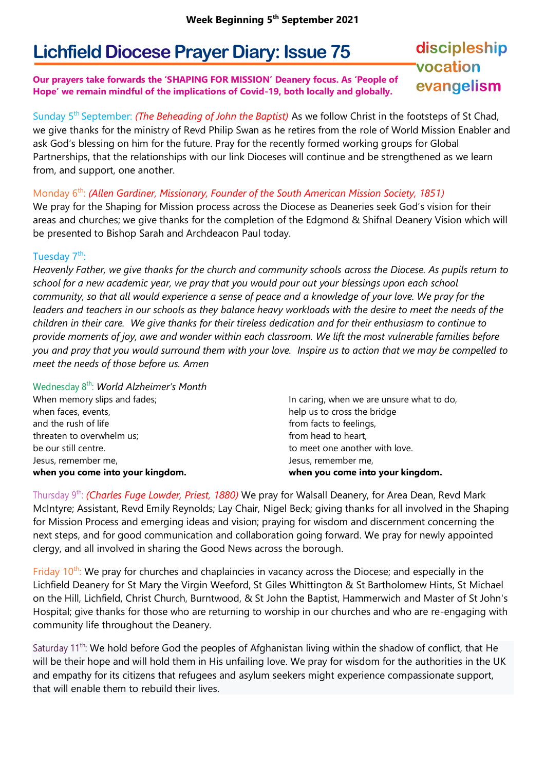# **Lichfield Diocese Prayer Diary: Issue 75**

#### **Our prayers take forwards the 'SHAPING FOR MISSION' Deanery focus. As 'People of Hope' we remain mindful of the implications of Covid-19, both locally and globally.**

## discipleship vocation evangelism

Sunday 5<sup>th</sup> September: *(The Beheading of John the Baptist)* As we follow Christ in the footsteps of St Chad, we give thanks for the ministry of Revd Philip Swan as he retires from the role of World Mission Enabler and ask God's blessing on him for the future. Pray for the recently formed working groups for Global Partnerships, that the relationships with our link Dioceses will continue and be strengthened as we learn from, and support, one another.

### Monday 6<sup>th</sup>: *(Allen Gardiner, Missionary, Founder of the South American Mission Society, 1851)*

We pray for the Shaping for Mission process across the Diocese as Deaneries seek God's vision for their areas and churches; we give thanks for the completion of the Edgmond & Shifnal Deanery Vision which will be presented to Bishop Sarah and Archdeacon Paul today.

### Tuesday 7<sup>th</sup>:

*Heavenly Father, we give thanks for the church and community schools across the Diocese. As pupils return to school for a new academic year, we pray that you would pour out your blessings upon each school community, so that all would experience a sense of peace and a knowledge of your love. We pray for the*  leaders and teachers in our schools as they balance heavy workloads with the desire to meet the needs of the *children in their care. We give thanks for their tireless dedication and for their enthusiasm to continue to provide moments of joy, awe and wonder within each classroom. We lift the most vulnerable families before you and pray that you would surround them with your love. Inspire us to action that we may be compelled to meet the needs of those before us. Amen* 

Wednesday 8 th: *World Alzheimer's Month*

| when you come into your kingdom. | when you come into your kingdom.          |
|----------------------------------|-------------------------------------------|
| Jesus, remember me,              | Jesus, remember me,                       |
| be our still centre.             | to meet one another with love.            |
| threaten to overwhelm us;        | from head to heart,                       |
| and the rush of life             | from facts to feelings,                   |
| when faces, events,              | help us to cross the bridge               |
| When memory slips and fades;     | In caring, when we are unsure what to do, |
|                                  |                                           |

Thursday 9 th: *(Charles Fuge Lowder, Priest, 1880)* We pray for Walsall Deanery, for Area Dean, Revd Mark McIntyre; Assistant, Revd Emily Reynolds; Lay Chair, Nigel Beck; giving thanks for all involved in the Shaping for Mission Process and emerging ideas and vision; praying for wisdom and discernment concerning the next steps, and for good communication and collaboration going forward. We pray for newly appointed clergy, and all involved in sharing the Good News across the borough.

Friday  $10<sup>th</sup>$ : We pray for churches and chaplaincies in vacancy across the Diocese; and especially in the Lichfield Deanery for St Mary the Virgin Weeford, St Giles Whittington & St Bartholomew Hints, St Michael on the Hill, Lichfield, Christ Church, Burntwood, & St John the Baptist, Hammerwich and Master of St John's Hospital; give thanks for those who are returning to worship in our churches and who are re-engaging with community life throughout the Deanery.

Saturday 11<sup>th</sup>: We hold before God the peoples of Afghanistan living within the shadow of conflict, that He will be their hope and will hold them in His unfailing love. We pray for wisdom for the authorities in the UK and empathy for its citizens that refugees and asylum seekers might experience compassionate support, that will enable them to rebuild their lives.